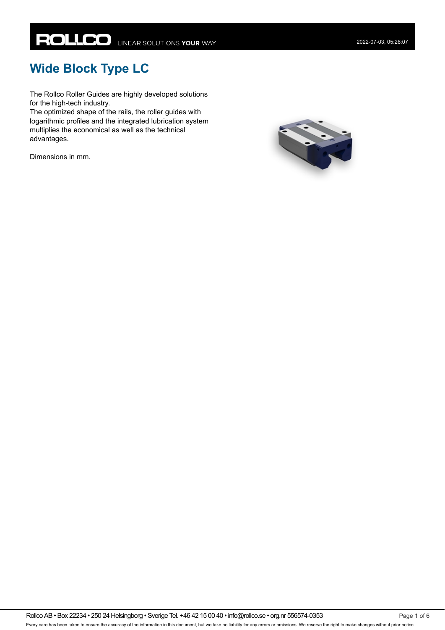# **Wide Block Type LC**

The Rollco Roller Guides are highly developed solutions for the high-tech industry.

The optimized shape of the rails, the roller guides with logarithmic profiles and the integrated lubrication system multiplies the economical as well as the technical advantages.

Dimensions in mm.

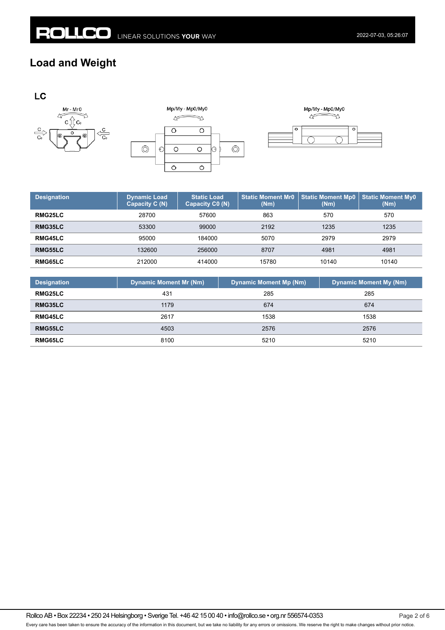### **Load and Weight**







| <b>Designation</b> | <b>Dynamic Load</b><br>Capacity C (N) | <b>Static Load</b><br>Capacity C0 (N) | <b>Static Moment Mr0</b><br>(Nm) | <b>Static Moment Mp0</b><br>(Nm) | <b>Static Moment My0</b><br>(Nm) |
|--------------------|---------------------------------------|---------------------------------------|----------------------------------|----------------------------------|----------------------------------|
| RMG25LC            | 28700                                 | 57600                                 | 863                              | 570                              | 570                              |
| RMG35LC            | 53300                                 | 99000                                 | 2192                             | 1235                             | 1235                             |
| RMG45LC            | 95000                                 | 184000                                | 5070                             | 2979                             | 2979                             |
| RMG55LC            | 132600                                | 256000                                | 8707                             | 4981                             | 4981                             |
| RMG65LC            | 212000                                | 414000                                | 15780                            | 10140                            | 10140                            |

| <b>Designation</b> | <b>Dynamic Moment Mr (Nm)</b> | <b>Dynamic Moment Mp (Nm)</b> | <b>Dynamic Moment My (Nm)</b> |
|--------------------|-------------------------------|-------------------------------|-------------------------------|
| <b>RMG25LC</b>     | 431                           | 285                           | 285                           |
| RMG35LC            | 1179                          | 674                           | 674                           |
| <b>RMG45LC</b>     | 2617                          | 1538                          | 1538                          |
| <b>RMG55LC</b>     | 4503                          | 2576                          | 2576                          |
| <b>RMG65LC</b>     | 8100                          | 5210                          | 5210                          |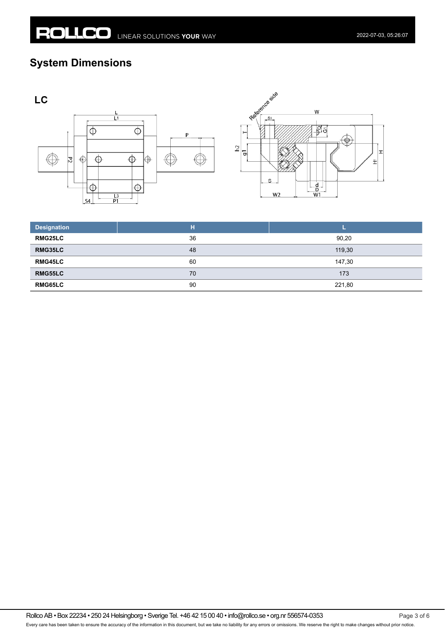## **System Dimensions**





| <b>Designation</b> | н  |        |
|--------------------|----|--------|
| <b>RMG25LC</b>     | 36 | 90,20  |
| RMG35LC            | 48 | 119,30 |
| <b>RMG45LC</b>     | 60 | 147,30 |
| <b>RMG55LC</b>     | 70 | 173    |
| <b>RMG65LC</b>     | 90 | 221,80 |

Rollco AB • Box 22234 • 250 24 Helsingborg • Sverige Tel. +46 42 15 00 40 • info@rollco.se • org.nr 556574-0353 Every care has been taken to ensure the accuracy of the information in this document, but we take no liability for any errors or omissions. We reserve the right to make changes without prior notice.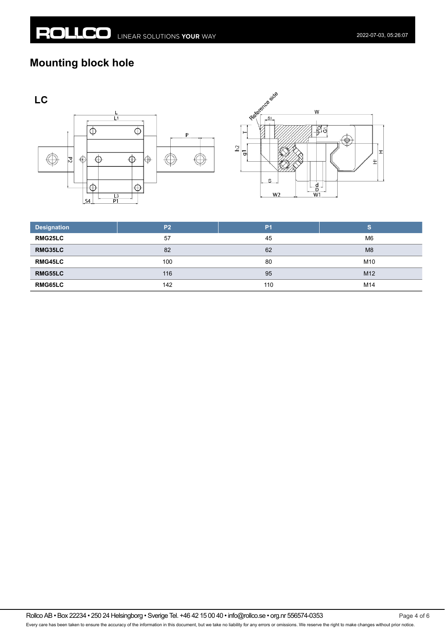## **Mounting block hole**





| <b>Designation</b> | P <sub>2</sub> | P <sub>1</sub> | S               |
|--------------------|----------------|----------------|-----------------|
| <b>RMG25LC</b>     | 57             | 45             | M <sub>6</sub>  |
| RMG35LC            | 82             | 62             | M <sub>8</sub>  |
| <b>RMG45LC</b>     | 100            | 80             | M10             |
| <b>RMG55LC</b>     | 116            | 95             | M <sub>12</sub> |
| <b>RMG65LC</b>     | 142            | 110            | M14             |

Rollco AB • Box 22234 • 250 24 Helsingborg • Sverige Tel. +46 42 15 00 40 • info@rollco.se • org.nr 556574-0353 Every care has been taken to ensure the accuracy of the information in this document, but we take no liability for any errors or omissions. We reserve the right to make changes without prior notice.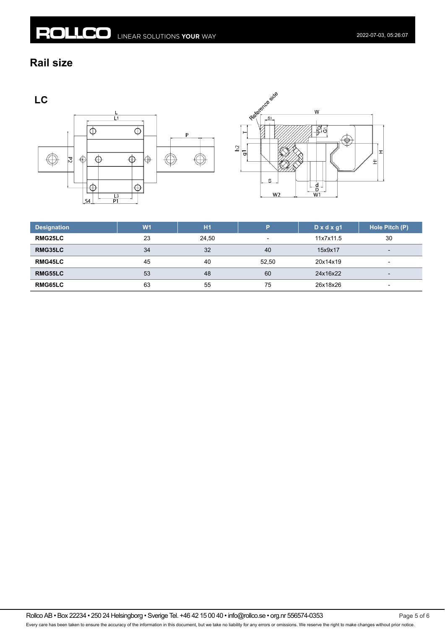#### **Rail size**

LC





| <b>Designation</b> | W <sub>1</sub> | H1    | D                        | $D \times d \times g1$ | Hole Pitch (P)           |
|--------------------|----------------|-------|--------------------------|------------------------|--------------------------|
| RMG25LC            | 23             | 24,50 | $\overline{\phantom{a}}$ | 11x7x11.5              | 30                       |
| RMG35LC            | 34             | 32    | 40                       | 15x9x17                | $\overline{\phantom{a}}$ |
| RMG45LC            | 45             | 40    | 52.50                    | 20x14x19               |                          |
| RMG55LC            | 53             | 48    | 60                       | 24x16x22               | $\overline{\phantom{0}}$ |
| RMG65LC            | 63             | 55    | 75                       | 26x18x26               | $\overline{\phantom{0}}$ |

Rollco AB • Box 22234 • 250 24 Helsingborg • Sverige Tel. +46 42 15 00 40 • info@rollco.se • org.nr 556574-0353 Page 5 of 6 Every care has been taken to ensure the accuracy of the information in this document, but we take no liability for any errors or omissions. We reserve the right to make changes without prior notice.